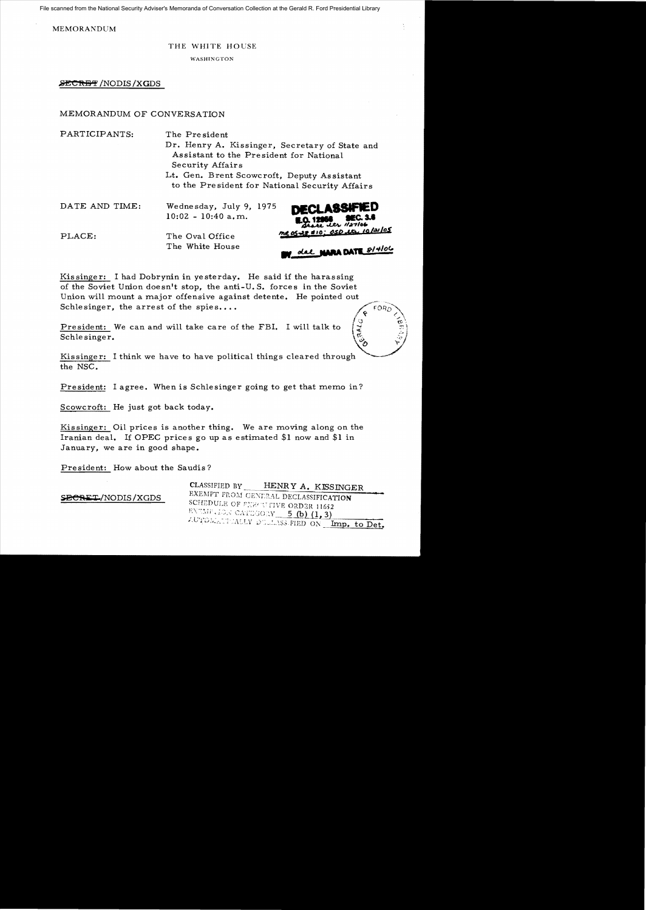File scanned from the National Security Adviser's Memoranda of Conversation Collection at the Gerald R. Ford Presidential Library

MEMORANDUM

#### THE WHITE HOUSE

WASHINGTON

**2CftE'f'** /NODIS/XGDS

## MEMORANDUM OF CONVERSATION

| PARTICIPANTS:  | The President<br>Dr. Henry A. Kissinger, Secretary of State and<br>Assistant to the President for National<br>Security Affairs<br>Lt. Gen. Brent Scowcroft, Deputy Assistant<br>to the President for National Security Affairs |
|----------------|--------------------------------------------------------------------------------------------------------------------------------------------------------------------------------------------------------------------------------|
| DATE AND TIME: | <b>DECLASSIFIED</b><br>Wednesday, July 9, 1975<br>$10:02 - 10:40$ a.m.<br>$\underbrace{0, 12058}_{\text{State}}$ SEC. 3.6                                                                                                      |
| PLACE:         | me 05-28 \$10; 050 th, 10/21/05<br>The Oval Office<br>The White House<br>we olat MARA DATE 8/4/06                                                                                                                              |

Kissinger: I had Dobrynin in yesterday. He said if the harassing of the Soviet Union doesn't stop, the anti-U.S. forces in the Soviet Union will mount a major offensive against detente. He pointed out Schlesinger, the arrest of the spies....

**President:** We can and will take care of the FBI. I will talk to  $\begin{pmatrix} \frac{1}{\sqrt{2}} \\ \frac{1}{\sqrt{2}} \end{pmatrix}$ 



Kissinger: I think we have to have political things cleared through the NSC.

President: I agree. When is Schlesinger going to get that memo in?

Scowcroft: He just got back today.

Kissinger: Oil prices is another thing. We are moving along on the Iranian deal. If OPEC prices go up as estimated \$1 now and \$1 in January, we are in good shape.

President: How about the Saudis?

**SBeSi:T** /NODIS /XGDS

CLASSIFIED BY HENRY A. KISSINGER EXEMPT FROM GENERAL DECLASSIFICATION SCHEDULE OF FXX U FIVE ORDER 11652 ENEMP. ION CATEGORY 5 (b)  $(1, 3)$ AUTOMATICALLY DULLASS FIED ON Imp. to Det.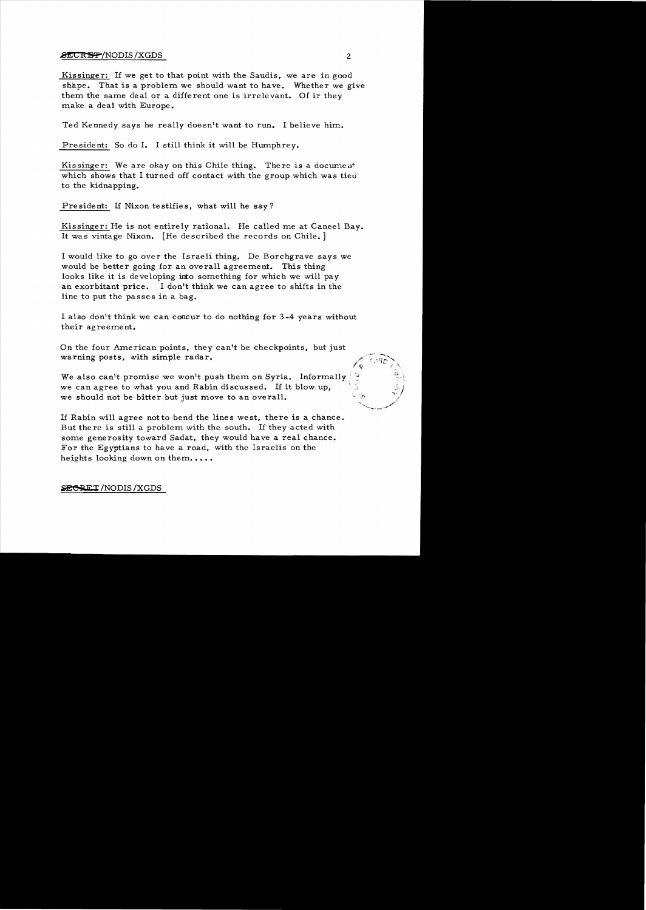## $\blacktriangleright$   $\blacktriangleright$   $\blacktriangleright$   $\blacktriangleright$   $\blacktriangleright$   $\blacktriangleright$   $\blacktriangleright$   $\blacktriangleright$   $\blacktriangleright$   $\blacktriangleright$   $\blacktriangleright$   $\blacktriangleright$   $\blacktriangleright$   $\blacktriangleright$   $\blacktriangleright$   $\blacktriangleright$   $\blacktriangleright$   $\blacktriangleright$   $\blacktriangleright$   $\blacktriangleright$   $\blacktriangleright$   $\blacktriangleright$   $\blacktriangleright$   $\blacktriangleright$   $\blacktriangleright$   $\blacktriangleright$   $\blacktriangleright$   $\blacktriangler$

Kissinger: If we get to that point with the Saudis, we are in good shape. That is a problem we should want to have. Whether we give them the same deal or a different one is irrelevant. Of ir they make a deal with Europe.

Ted Kennedy says he really doesn't want to run. I believe him..

President: So do I. I still think it will be Humphrey.

Kissinger: We are okay on this Chile thing. There is a document which shows that I turned off contact with the group which was tied to the kidnapping.

President: If Nixon testifies, what will he say?

Kissinger: He is not entirely rational. He called me at Caneel Bay. It was vintage Nixon. [He described the records on Chile. ]

I would like to go over the Israeli thing. De Borchgrave says we would be better going for an overall agreement. This thing looks like it is developing into something for which we will pay an exorbitant price. I don't think we can agree to shifts in the line to put the passes in a bag.

I also don't think we can concur to do nothing for 3-4 years without their agreement.

On the four American points, they can't be checkpoints, but just warning posts, with simple radar.

We also can't promise we won't push them on Syria. Informally we can agree to what you and Rabin discussed. If it blow up, we should not be bitter but just move to an overall.

If Rabin will agree notto bend the lines west, there is a chance. But there is still a problem with the south. If they acted with some generosity toward Sadat, they would have a real chance. For the Egyptians to have a road, with the Israelis on the heights looking down on them.....

# **SEGRET/NODIS/XGDS**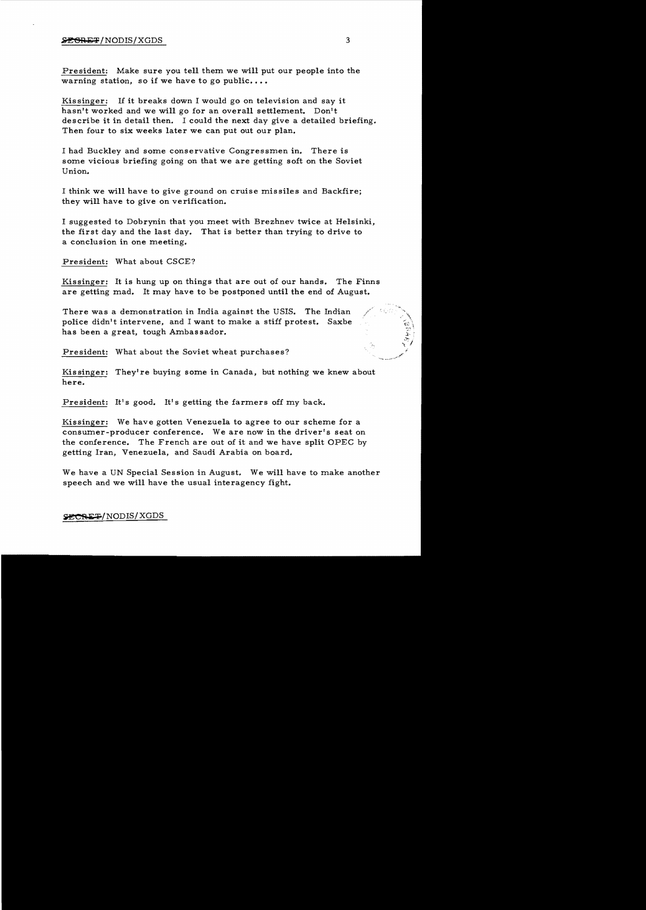#### $\frac{1}{2}$   $\frac{1}{2}$   $\frac{1}{2}$   $\frac{1}{2}$   $\frac{1}{2}$   $\frac{1}{2}$   $\frac{1}{2}$   $\frac{1}{2}$   $\frac{1}{2}$   $\frac{1}{2}$   $\frac{1}{2}$   $\frac{1}{2}$   $\frac{1}{2}$   $\frac{1}{2}$   $\frac{1}{2}$   $\frac{1}{2}$   $\frac{1}{2}$   $\frac{1}{2}$   $\frac{1}{2}$   $\frac{1}{2}$   $\frac{1}{2}$   $\frac{1}{2}$

President: Make sure you tell them we will put our people into the warning station, so if we have to go public....

Kissinger: If it breaks down I would go on television and say it hasn't worked and we will go for an overall settlement. Don't describe it in detail then. I could the next day give a detailed briefing. Then four to six weeks later we can put out our plan.

I had Buckley and some conservative Congressmen in. There is some vicious briefing going on that we are getting soft on the Soviet Union.

I think we will have to give ground on cruise missiles and Backfire; they will have to give on verification.

I suggested to Dobrynin that you meet with Brezhnev twice at Helsinki, the first day and the last day. That is better than trying to drive to a conclusion in one meeting.

President: What about CSCE?

Kissinger: It is hung up on things that are out of our hands. The Finns are getting mad. It may have to be postponed until the end of August.

There was a demonstration in India against the USIS. The Indian police didn't intervene, and I want to make a stiff protest. Saxbe has been a great, tough Ambassador.

President: What about the Soviet wheat purchases?

Kissinger: They're buying some in Canada, but nothing we knew about here.

President: It's good. It's getting the farmers off my back.

Kissinger: We have gotten Venezuela to agree to our scheme for a consumer-producer conference. We are now in the driver's seat on the conference. The French are out of it and we have split OPEC by getting Iran, Venezuela, and Saudi Arabia on board.

We have a UN Special Session in August. We will have to make another speech and we will have the usual interagency fight.

SECRET/NODIS/XGDS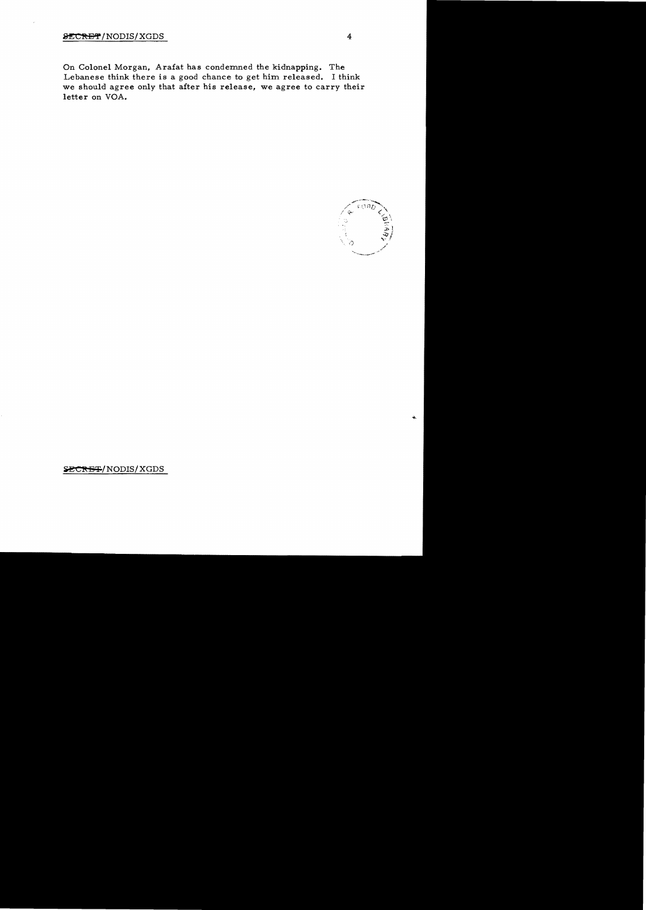On Colonel Morgan, Arafat has condemned the kidnapping. The Lebanese think there is a good chance to get him released. I think we should agree only that after his release, we agree to carry their letter on VOA.



SECRET/NODIS/XGDS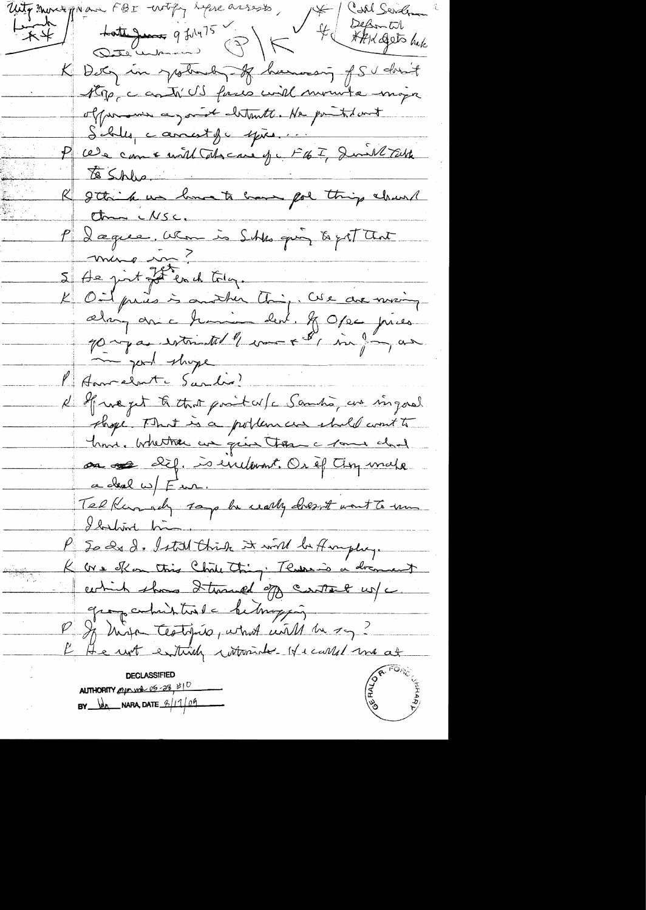Uty month Man FBI with like assests, \* Coll Sender totte June 9 July 15 PM 4 September 不平 K Dety in your of humaning of Sudon't Kop, castr' US faces will mounte moja offremence, and cletrate. He printed and Salle, camest fre epison : 1976 F. Juil 724  $\sqrt{8}$  Shlee. R gthink we have to have got thing about  $thm$   $MSC$ . P Dæguee, when is Skks qui to get that 5 August 25 en 1 (Flag. Creament) P Annalente Sandis d'Africa pet à that posit celle Samha, un singarel shope That is a polloment shall coult to home. Whether we give them a rome and on of dif. is evilopoint. Or if they make a deal w/ F ur. Telkinsh 100 h wally dresst wont to un Llahine him P So de d. Istal this it will be fingly. K ore offer this Chile thing. Thurs is a drament which shows I though of contact us a group contributions on he trapping. P If high testifies, what will be say? K He with entirely withminder Hicarles and at **DECLASSIFIED** AUTHORITY eyes when  $05 - 28 + 10$  $BY$   $\frac{1}{2}$  NARA, DATE  $\frac{\beta}{109}$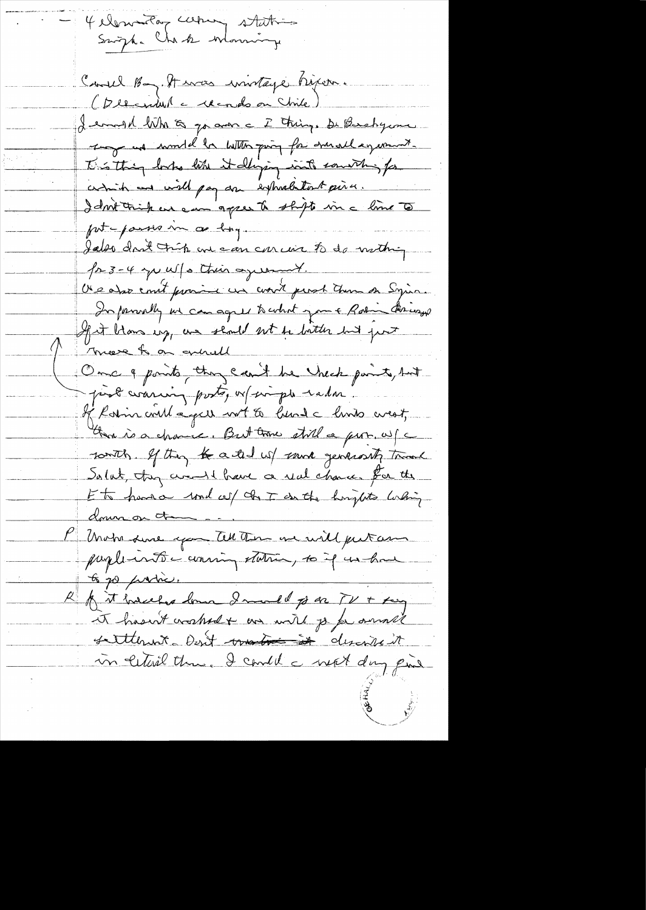4 elementary carry statis Suight Charles Moning Could Bay. It was invitage higher. (December a cecrols on Chile) I emight when a go and a I thing. De Baselycome tog and wonder with pain for durall equal and This thing looks like it diging into counting for comit and will pay an expreditiont pince. I dont trisk en eau agree to shipte in a line to put passes in a long ... Jakes droit trûp en can car un to do mothing fr 3-4 yu W/s this agreement. Use also court province un court pend them on Sying. In formally we can agree to what you + Ratin through If it blows up, we should not be botter but pour Threat on grill Once q points they can't be Uneck paint, but post waring posto, or simple rada. of Rosin could age unt to head a limb creat, than is a chance. But trove still a prop. w/c south. If they the acted us sound generally trank Solut, they went have a real chance. for the Et hans und cel de T en the horizhts lasting down on the P Under sure you tell there we will put an paplicate coming station, so if un have to go produce. R A it hassless lown I made of ar TV + king et hasn't cratted as will go for annuel settlement dont construe it in certail theme. I could a next day pine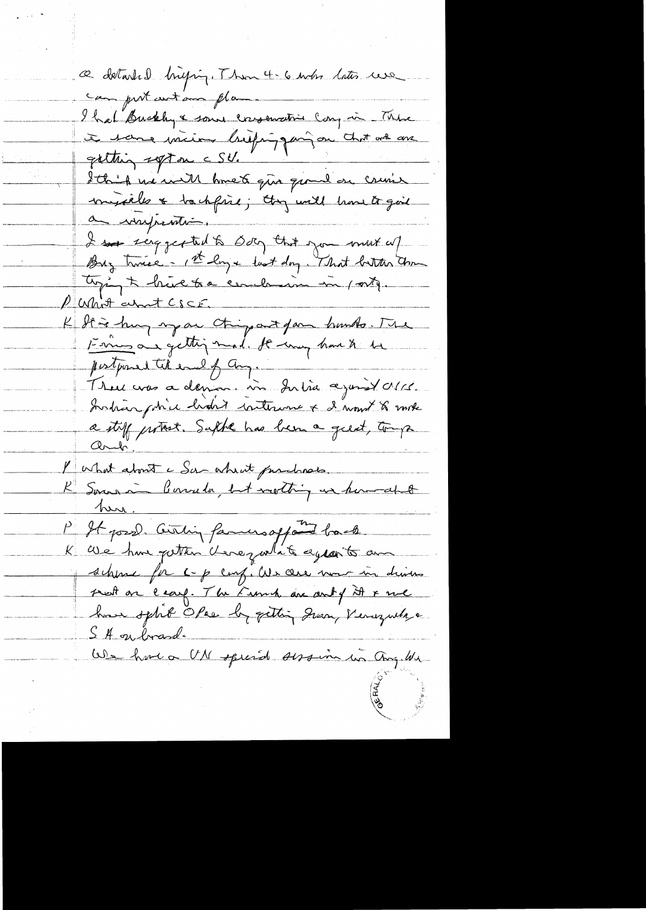a détailed briging. Thou 4.6 min buts use can put cutam plan. I hat Buckly & some conservation cong in These à son min bifing par chat ve as Ithis me will knet que quand on cruis miséeles & to chfine; they will have to give a improduir I se reggerted to Bog that you must up tying to hive to a cender in my vity. P What about CSCF. K de à huy mar chipart par humbs. The pertponent til end of Ang.<br>There was a demine vir du tid against MC. Instrangative biotist intervent & d'unit & mote<br>a stiff partiet. Suphe has been a great, tough l'ushat about a Sur about par character K Soma à Consula, est nothing un homedal <u>tura.</u> P It posse Civiling families appoint back K We have putter deregative equants and schine for c-p comp. We care more in drivers prest on leary. The French are anty it & me how split Opee by getting Jean, Venezuela a S A on brand. We have a UN special session in Chaq. We